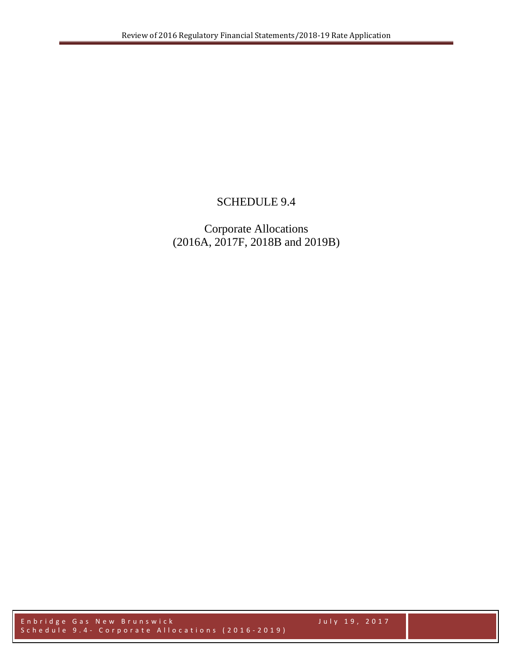## SCHEDULE 9.4

Corporate Allocations (2016A, 2017F, 2018B and 2019B)

Enbridge Gas New Brunswick July 19, 2017 Schedule 9.4 - Corporate Allocations (2016-2019)